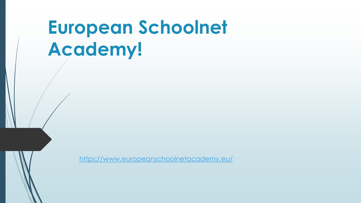# **European Schoolnet Academy!**

<https://www.europeanschoolnetacademy.eu/>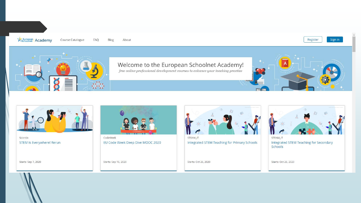



Scientix STEM Is Everywhere! Rerun

Starts: Sep 7, 2020



CodeWeek EU Code Week Deep Dive MOOC 2020

STEAM\_IT Integrated STEM Teaching for Primary Schools

Starts: Oct 26, 2020



Integrated STEM Teaching for Secondary Schools

Starts: Oct 26, 2020

Starts: Sep 16, 2020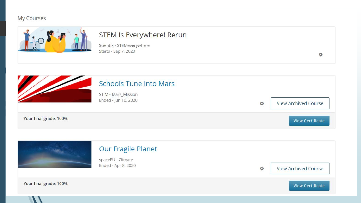# My Courses



# STEM Is Everywhere! Rerun

Scientix - STEMeverywhere Starts - Sep 7, 2020

**Schools Tune Into Mars** STIM - Mars\_Mission Ended - Jun 10, 2020 **View Archived Course**  $\ddot{\mathbf{G}}$ Your final grade: 100%. **View Certificate** 

春

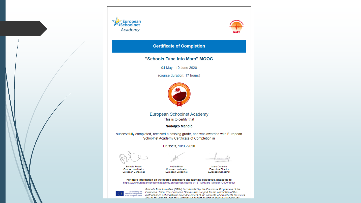



### **Certificate of Completion**

### "Schools Tune Into Mars" MOOC

04 May - 10 June 2020

(course duration: 17 hours)



**European Schoolnet Academy** This is to certify that

Nedeljko Mandić

successfully completed, received a passing grade, and was awarded with European Schoolnet Academy Certificate of Completion in

Brussels, 10/06/2020

Borbala Pocze

Course coordinator

European Schoolnet

Noëlle Billon Course coordinator European Schoolnet

Marc Durando **Executive Director** European Schoolnet

For more information on the course organisers and learning objectives, please go to https://www.europeanschoolnetacademy.eu/courses/course-v1:STIM+Mars\_Mission+2020/about



Schools Tune Into Mars (STIM) is co-funded by the Erasmus+ Programme of the<br>Energist Programme European Union. The European Commission support for the production of this<br>of the European Union – material does not constitute material does not constitute an endorsement of the contents which reflects the views only of the authors, and the Commission cannot he held responsible for any use.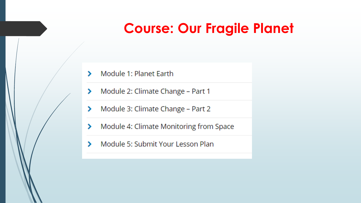# **Course: Our Fragile Planet**

- Module 1: Planet Earth ⋟
- Module 2: Climate Change Part 1 ⋗
- Module 3: Climate Change Part 2 ⋗
- Module 4: Climate Monitoring from Space ⋟
- Module 5: Submit Your Lesson Plan ⋟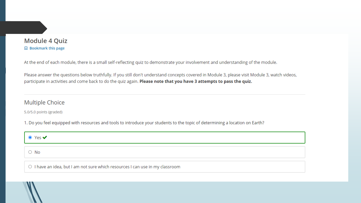## **Module 4 Quiz Q** Bookmark this page

At the end of each module, there is a small self-reflecting quiz to demonstrate your involvement and understanding of the module.

Please answer the questions below truthfully. If you still don't understand concepts covered in Module 3, please visit Module 3, watch videos, participate in activities and come back to do the quiz again. Please note that you have 3 attempts to pass the quiz.

# **Multiple Choice**

5.0/5.0 points (graded)

1. Do you feel equipped with resources and tools to introduce your students to the topic of determining a location on Earth?

| $\bullet$ Yes $\bullet$                                                                    |
|--------------------------------------------------------------------------------------------|
| $\vert \circ \hspace{0.1cm} \mathsf{No} \hspace{0.1cm} \vert$                              |
| $\mid$ $\circ$ I have an idea, but I am not sure which resources I can use in my classroom |

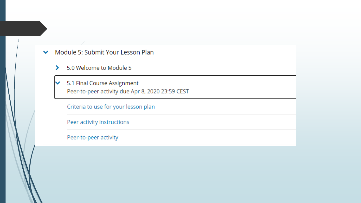### Module 5: Submit Your Lesson Plan ❤

- 5.0 Welcome to Module 5  $\blacktriangleright$
- 5.1 Final Course Assignment ✓ Peer-to-peer activity due Apr 8, 2020 23:59 CEST

Criteria to use for your lesson plan

Peer activity instructions

Peer-to-peer activity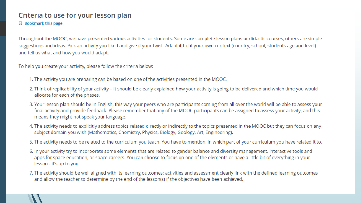# Criteria to use for your lesson plan

**Q** Bookmark this page

Throughout the MOOC, we have presented various activities for students. Some are complete lesson plans or didactic courses, others are simple suggestions and ideas. Pick an activity you liked and give it your twist. Adapt it to fit your own context (country, school, students age and level) and tell us what and how you would adapt.

To help you create your activity, please follow the criteria below:

- 1. The activity you are preparing can be based on one of the activities presented in the MOOC.
- 2. Think of replicability of your activity it should be clearly explained how your activity is going to be delivered and which time you would allocate for each of the phases.
- 3. Your lesson plan should be in English, this way your peers who are participants coming from all over the world will be able to assess your final activity and provide feedback. Please remember that any of the MOOC participants can be assigned to assess your activity, and this means they might not speak your language.
- 4. The activity needs to explicitly address topics related directly or indirectly to the topics presented in the MOOC but they can focus on any subject domain you wish (Mathematics, Chemistry, Physics, Biology, Geology, Art, Engineering).
- 5. The activity needs to be related to the curriculum you teach. You have to mention, in which part of your curriculum you have related it to.
- 6. In your activity try to incorporate some elements that are related to gender balance and diversity management, interactive tools and apps for space education, or space careers. You can choose to focus on one of the elements or have a little bit of everything in your lesson - it's up to you!
- 7. The activity should be well aligned with its learning outcomes: activities and assessment clearly link with the defined learning outcomes and allow the teacher to determine by the end of the lesson(s) if the objectives have been achieved.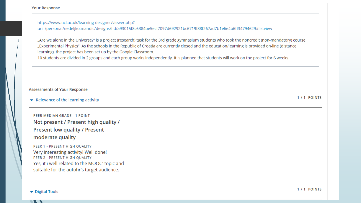**Your Response** 

https://www.ucl.ac.uk/learning-designer/viewer.php? uri=/personal/nedeljko.mandic/designs/fid/a93015f8c6384be5ecf7097d692921bc6719f88f267ad7b1e6e4b6ff34794629#listview

"Are we alone in the Universe?" is a project (research) task for the 3rd grade gymnasium students who took the noncredit (non-mandatory) course "Experimental Physics". As the schools in the Republic of Croatia are currently closed and the education/learning is provided on-line (distance learning), the project has been set up by the Google Classroom.

10 students are divided in 2 groups and each group works independently. It is planned that students will work on the project for 6 weeks.

### **Assessments of Your Response**

 $\bullet$  Relevance of the learning activity

PEER MEDIAN GRADE - 1 POINT Not present / Present high quality / **Present low quality / Present** moderate quality

PEER 1 - PRESENT HIGH QUALITY Very interesting activity! Well done! PEER 2 - PRESENT HIGH QUALITY Yes, it i well related to the MOOC' topic and suitable for the autohr's target audience.

1/1 POINTS

Digital Tools

1/1 POINTS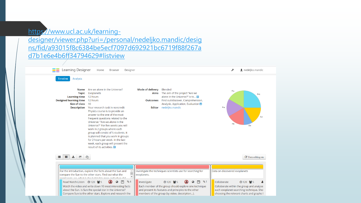# https://www.ucl.ac.uk/learning-

[designer/viewer.php?uri=/personal/nedeljko.mandic/desig](https://www.ucl.ac.uk/learning-designer/viewer.php?uri=/personal/nedeljko.mandic/designs/fid/a93015f8c6384be5ecf7097d692921bc6719f88f267ad7b1e6e4b6ff34794629#listview) ns/fid/a93015f8c6384be5ecf7097d692921bc6719f88f267a d7b1e6e4b6ff34794629#listview

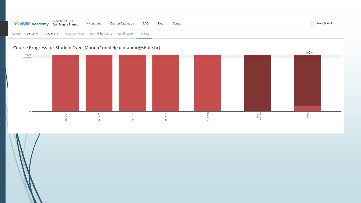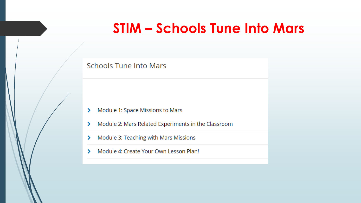# **STIM - Schools Tune Into Mars**

# **Schools Tune Into Mars**

- Module 1: Space Missions to Mars ⋗
- Module 2: Mars Related Experiments in the Classroom ≻
- Module 3: Teaching with Mars Missions ⋗
- Module 4: Create Your Own Lesson Plan! У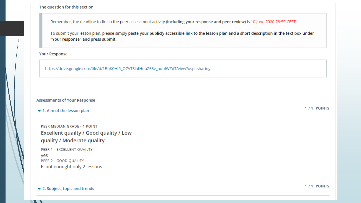The question for this section

Remember, the deadline to finish the peer assessment activity (including your response and peer review) is 10 June 2020 23:59 CEST.

To submit your lesson plan, please simply paste your publicly accessible link to the lesson plan and a short description in the text box under "Your response" and press submit.

**Your Response** 

https://drive.google.com/file/d/1BoK0HlR\_O7VT3lafHquZ58v\_oupIWZdT/view?usp=sharing

### **Assessments of Your Response**

### $\blacktriangleright$  1. Aim of the lesson plan

PEER MEDIAN GRADE - 1 POINT **Excellent quailty / Good quality / Low** quality / Moderate quality

PEER 1 - EXCELLENT QUAILTY yes PEER 2 - GOOD QUALITY Is not enought only 2 lessons

 $\blacktriangleright$  2. Subject, topic and trends

 $\mathcal{L}$ 

1/1 POINTS

1/1 POINTS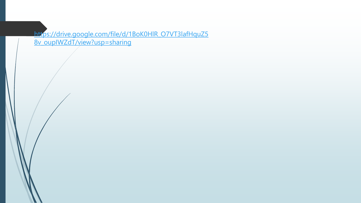https://drive.google.com/file/d/1BoK0HlR\_O7VT3lafHquZ5 <u>8v oupIWZdT/view?usp=sharing</u>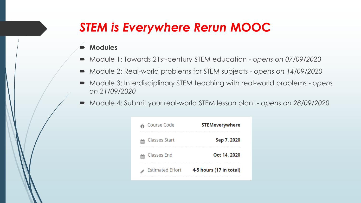# *STEM is Everywhere Rerun* **MOOC**

# **Modules**

- Module 1: Towards 21st-century STEM education *opens on 07/09/2020*
- Module 2: Real-world problems for STEM subjects *opens on 14/09/2020*
- Module 3: Interdisciplinary STEM teaching with real-world problems *opens on 21/09/2020*
- Module 4: Submit your real-world STEM lesson plan! *opens on 28/09/2020*

| Course Code             | <b>STEMeverywhere</b>   |
|-------------------------|-------------------------|
| Classes Start           | Sep 7, 2020             |
| Classes End             | Oct 14, 2020            |
| <b>Estimated Effort</b> | 4-5 hours (17 in total) |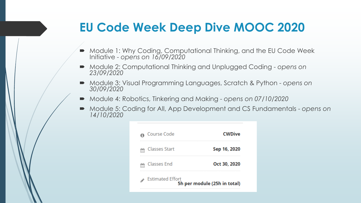# **EU Code Week Deep Dive MOOC 2020**

- Module 1: Why Coding, Computational Thinking, and the EU Code Week Initiative - *opens on 16/09/2020*
- Module 2: Computational Thinking and Unplugged Coding *opens* on *23/09/2020*
- Module 3: Visual Programming Languages, Scratch & Python *opens on 30/09/2020*
- Module 4: Robotics, Tinkering and Making *opens* on 07/10/2020
- Module 5: Coding for All, App Development and CS Fundamentals *opens on 14/10/2020*

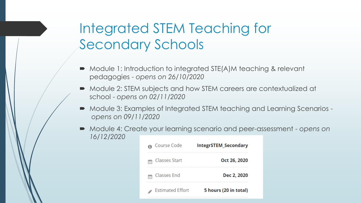# Integrated STEM Teaching for Secondary Schools

- Module 1: Introduction to integrated STE(Α)M teaching & relevant pedagogies - *opens on 26/10/2020*
- Module 2: STEM subjects and how STEM careers are contextualized at school - *opens on 02/11/2020*
- Module 3: Examples of Integrated STEM teaching and Learning Scenarios *opens on 09/11/2020*
- Module 4: Create your learning scenario and peer-assessment *opens on 16/12/2020*

| Course Code             | <b>IntegrSTEM Secondary</b> |
|-------------------------|-----------------------------|
| <b>Classes Start</b>    | Oct 26, 2020                |
| Classes End             | Dec 2, 2020                 |
| <b>Estimated Effort</b> | 5 hours (20 in total)       |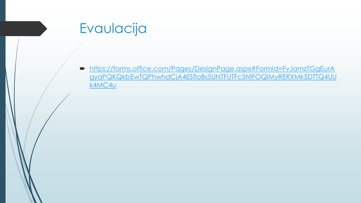# Evaulacija

https://forms.office.com/Pages/DesignPage.aspx#FormId=FvJamzTGgEurA  $\blacksquare$ gyaPQKQkbEwTQPhwhdCjA4ESfloBs5UNTFUTFc5NIFOQIMyRERXMk5DTTQ4UU **K4MC4U**